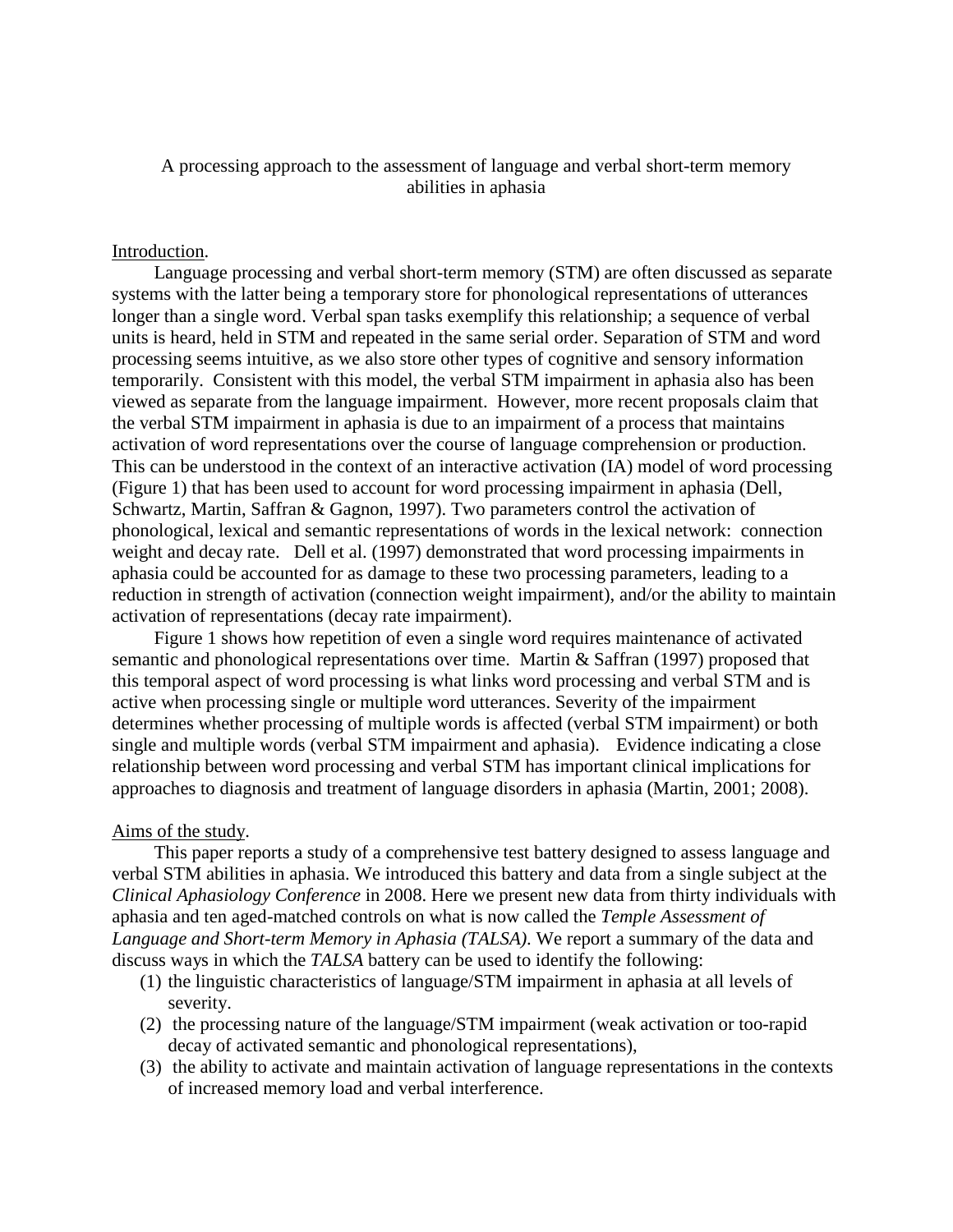# A processing approach to the assessment of language and verbal short-term memory abilities in aphasia

### Introduction.

Language processing and verbal short-term memory (STM) are often discussed as separate systems with the latter being a temporary store for phonological representations of utterances longer than a single word. Verbal span tasks exemplify this relationship; a sequence of verbal units is heard, held in STM and repeated in the same serial order. Separation of STM and word processing seems intuitive, as we also store other types of cognitive and sensory information temporarily. Consistent with this model, the verbal STM impairment in aphasia also has been viewed as separate from the language impairment. However, more recent proposals claim that the verbal STM impairment in aphasia is due to an impairment of a process that maintains activation of word representations over the course of language comprehension or production. This can be understood in the context of an interactive activation (IA) model of word processing (Figure 1) that has been used to account for word processing impairment in aphasia (Dell, Schwartz, Martin, Saffran & Gagnon, 1997). Two parameters control the activation of phonological, lexical and semantic representations of words in the lexical network: connection weight and decay rate. Dell et al. (1997) demonstrated that word processing impairments in aphasia could be accounted for as damage to these two processing parameters, leading to a reduction in strength of activation (connection weight impairment), and/or the ability to maintain activation of representations (decay rate impairment).

Figure 1 shows how repetition of even a single word requires maintenance of activated semantic and phonological representations over time. Martin & Saffran (1997) proposed that this temporal aspect of word processing is what links word processing and verbal STM and is active when processing single or multiple word utterances. Severity of the impairment determines whether processing of multiple words is affected (verbal STM impairment) or both single and multiple words (verbal STM impairment and aphasia). Evidence indicating a close relationship between word processing and verbal STM has important clinical implications for approaches to diagnosis and treatment of language disorders in aphasia (Martin, 2001; 2008).

### Aims of the study.

This paper reports a study of a comprehensive test battery designed to assess language and verbal STM abilities in aphasia. We introduced this battery and data from a single subject at the *Clinical Aphasiology Conference* in 2008. Here we present new data from thirty individuals with aphasia and ten aged-matched controls on what is now called the *Temple Assessment of Language and Short-term Memory in Aphasia (TALSA)*. We report a summary of the data and discuss ways in which the *TALSA* battery can be used to identify the following:

- (1) the linguistic characteristics of language/STM impairment in aphasia at all levels of severity.
- (2) the processing nature of the language/STM impairment (weak activation or too-rapid decay of activated semantic and phonological representations),
- (3) the ability to activate and maintain activation of language representations in the contexts of increased memory load and verbal interference.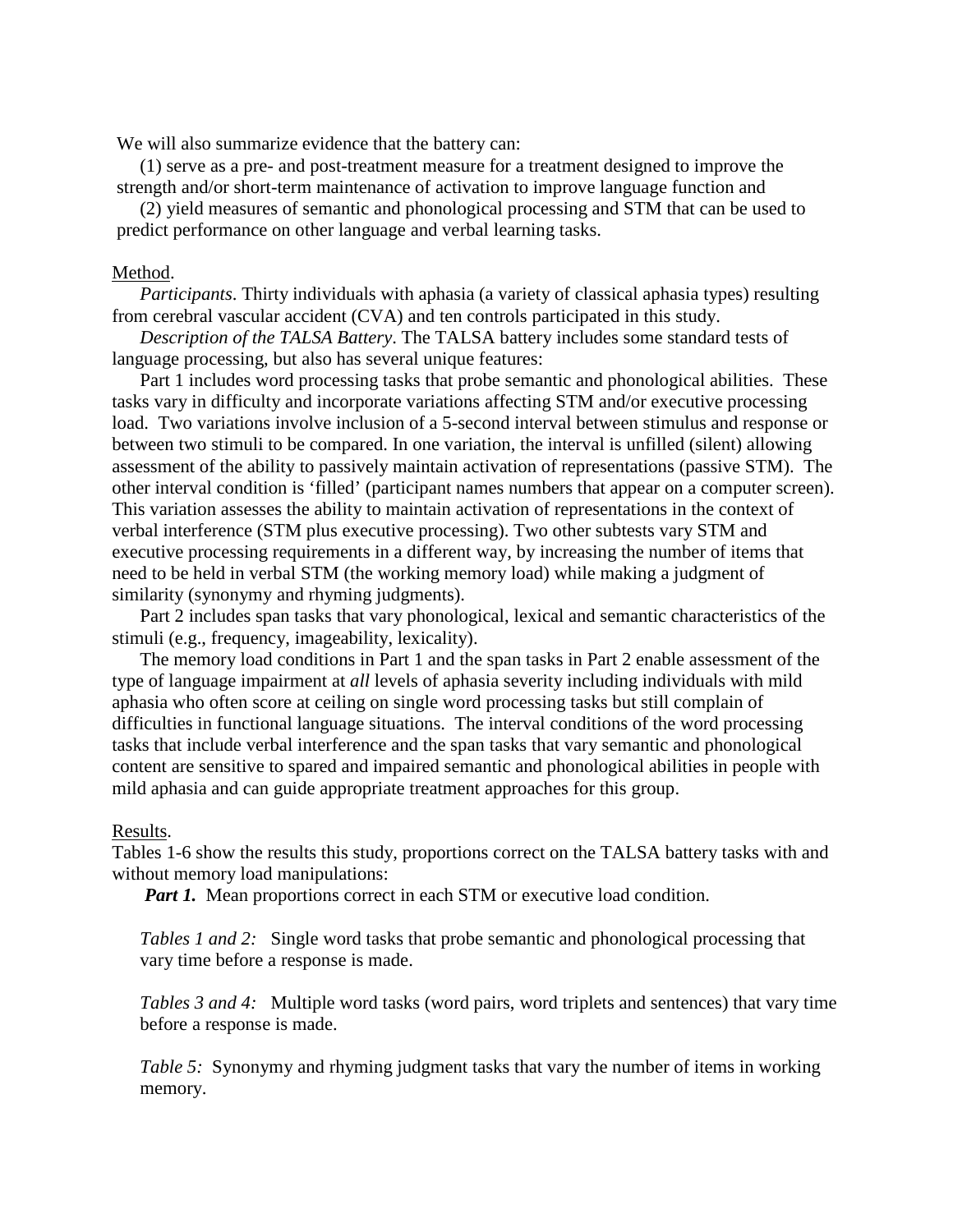We will also summarize evidence that the battery can:

(1) serve as a pre- and post-treatment measure for a treatment designed to improve the strength and/or short-term maintenance of activation to improve language function and

(2) yield measures of semantic and phonological processing and STM that can be used to predict performance on other language and verbal learning tasks.

## Method.

*Participants*. Thirty individuals with aphasia (a variety of classical aphasia types) resulting from cerebral vascular accident (CVA) and ten controls participated in this study.

*Description of the TALSA Battery*. The TALSA battery includes some standard tests of language processing, but also has several unique features:

Part 1 includes word processing tasks that probe semantic and phonological abilities. These tasks vary in difficulty and incorporate variations affecting STM and/or executive processing load. Two variations involve inclusion of a 5-second interval between stimulus and response or between two stimuli to be compared. In one variation, the interval is unfilled (silent) allowing assessment of the ability to passively maintain activation of representations (passive STM). The other interval condition is 'filled' (participant names numbers that appear on a computer screen). This variation assesses the ability to maintain activation of representations in the context of verbal interference (STM plus executive processing). Two other subtests vary STM and executive processing requirements in a different way, by increasing the number of items that need to be held in verbal STM (the working memory load) while making a judgment of similarity (synonymy and rhyming judgments).

Part 2 includes span tasks that vary phonological, lexical and semantic characteristics of the stimuli (e.g., frequency, imageability, lexicality).

The memory load conditions in Part 1 and the span tasks in Part 2 enable assessment of the type of language impairment at *all* levels of aphasia severity including individuals with mild aphasia who often score at ceiling on single word processing tasks but still complain of difficulties in functional language situations. The interval conditions of the word processing tasks that include verbal interference and the span tasks that vary semantic and phonological content are sensitive to spared and impaired semantic and phonological abilities in people with mild aphasia and can guide appropriate treatment approaches for this group.

#### Results.

Tables 1-6 show the results this study, proportions correct on the TALSA battery tasks with and without memory load manipulations:

*Part 1.* Mean proportions correct in each STM or executive load condition.

*Tables 1 and 2:* Single word tasks that probe semantic and phonological processing that vary time before a response is made.

*Tables 3 and 4:* Multiple word tasks (word pairs, word triplets and sentences) that vary time before a response is made.

*Table 5:* Synonymy and rhyming judgment tasks that vary the number of items in working memory.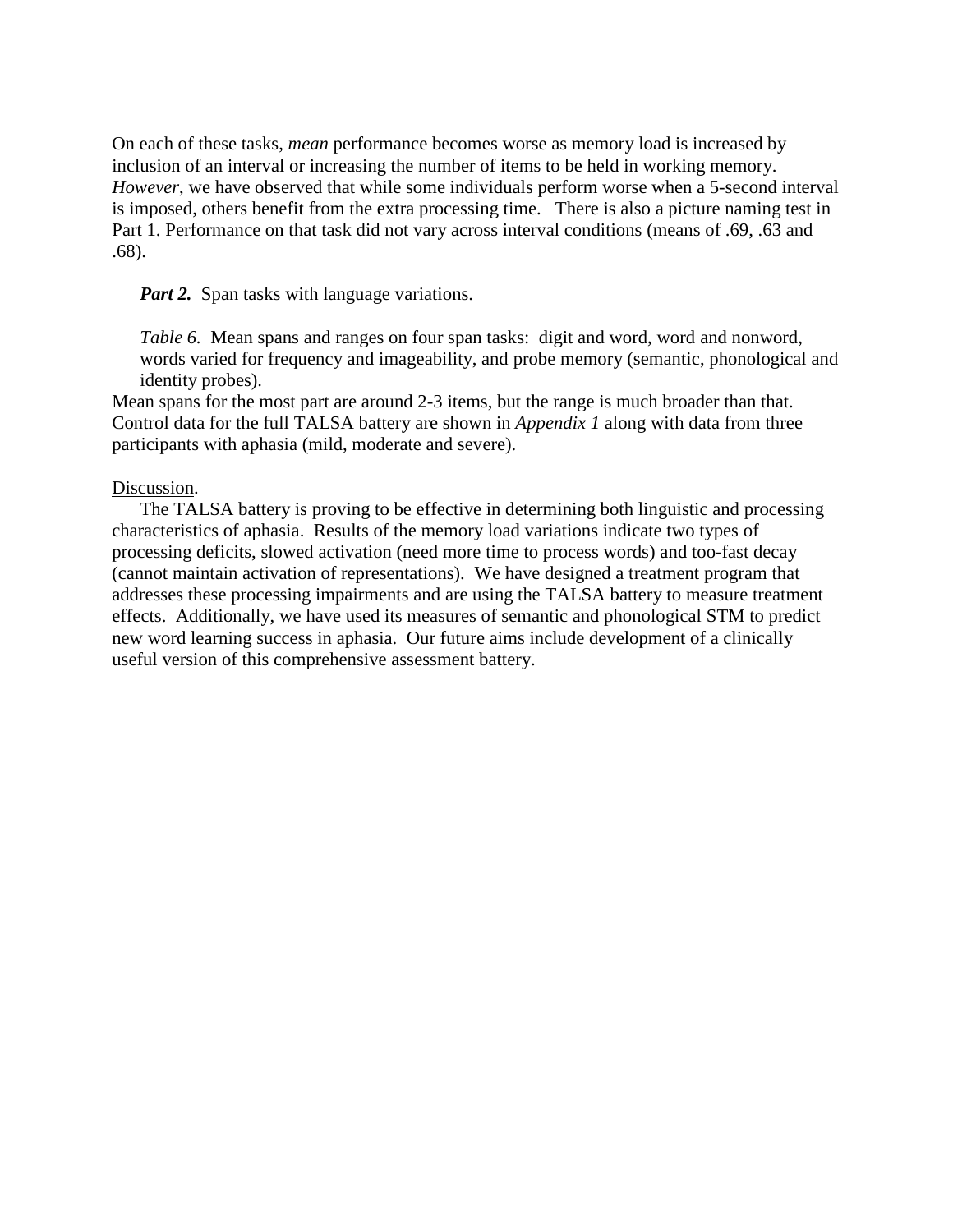On each of these tasks, *mean* performance becomes worse as memory load is increased by inclusion of an interval or increasing the number of items to be held in working memory. *However*, we have observed that while some individuals perform worse when a 5-second interval is imposed, others benefit from the extra processing time. There is also a picture naming test in Part 1. Performance on that task did not vary across interval conditions (means of .69, .63 and .68).

*Part 2.* Span tasks with language variations.

*Table 6.* Mean spans and ranges on four span tasks: digit and word, word and nonword, words varied for frequency and imageability, and probe memory (semantic, phonological and identity probes).

Mean spans for the most part are around 2-3 items, but the range is much broader than that. Control data for the full TALSA battery are shown in *Appendix 1* along with data from three participants with aphasia (mild, moderate and severe).

## Discussion.

The TALSA battery is proving to be effective in determining both linguistic and processing characteristics of aphasia. Results of the memory load variations indicate two types of processing deficits, slowed activation (need more time to process words) and too-fast decay (cannot maintain activation of representations). We have designed a treatment program that addresses these processing impairments and are using the TALSA battery to measure treatment effects. Additionally, we have used its measures of semantic and phonological STM to predict new word learning success in aphasia. Our future aims include development of a clinically useful version of this comprehensive assessment battery.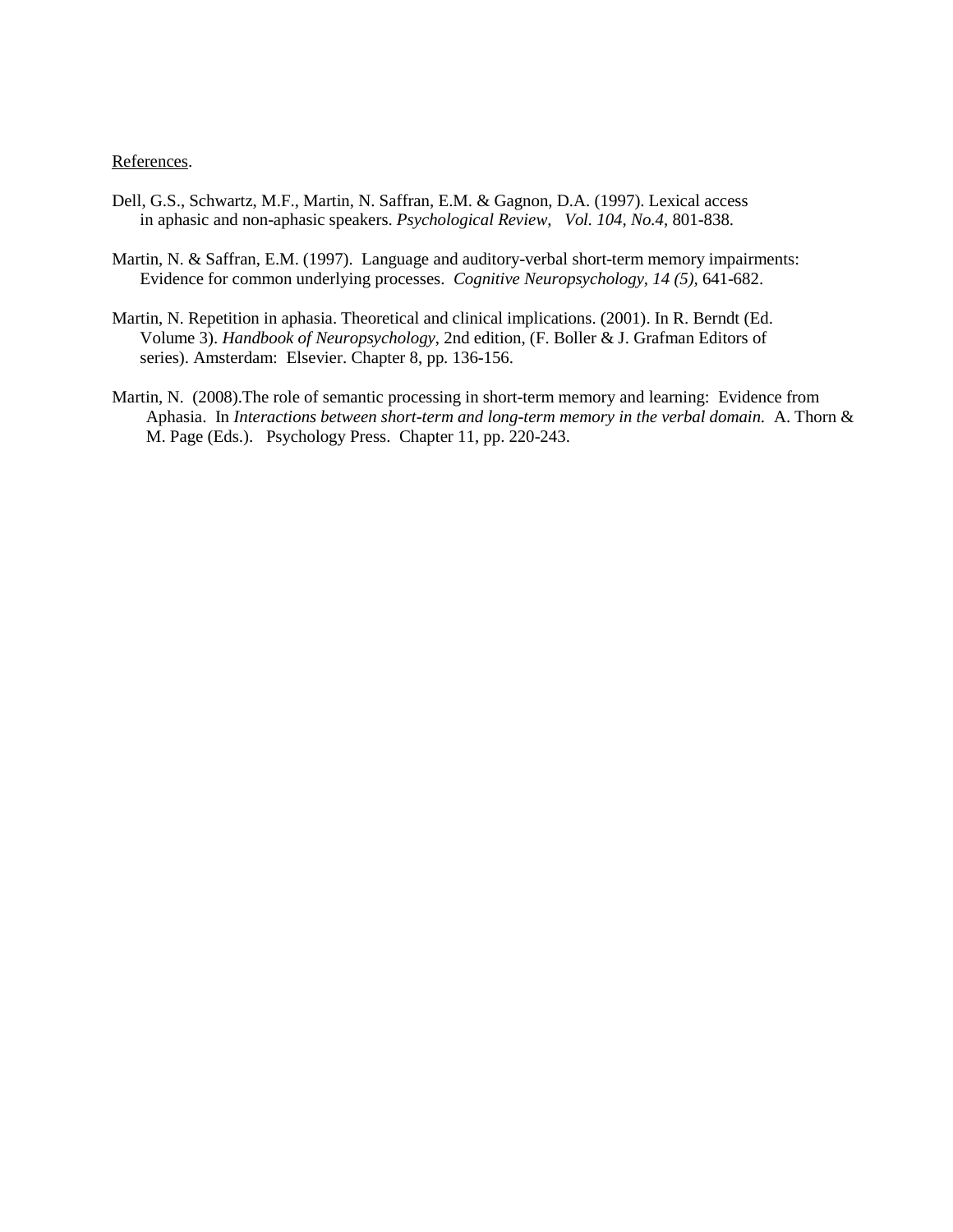#### References.

- Dell, G.S., Schwartz, M.F., Martin, N. Saffran, E.M. & Gagnon, D.A. (1997). Lexical access in aphasic and non-aphasic speakers. *Psychological Review*, *Vol. 104, No.4*, 801-838.
- Martin, N. & Saffran, E.M. (1997). Language and auditory-verbal short-term memory impairments: Evidence for common underlying processes. *Cognitive Neuropsychology, 14 (5),* 641-682.
- Martin, N. Repetition in aphasia. Theoretical and clinical implications. (2001). In R. Berndt (Ed. Volume 3). *Handbook of Neuropsychology*, 2nd edition, (F. Boller & J. Grafman Editors of series). Amsterdam: Elsevier. Chapter 8, pp. 136-156.
- Martin, N. (2008).The role of semantic processing in short-term memory and learning: Evidence from Aphasia. In *Interactions between short-term and long-term memory in the verbal domain.* A. Thorn & M. Page (Eds.). Psychology Press. Chapter 11, pp. 220-243.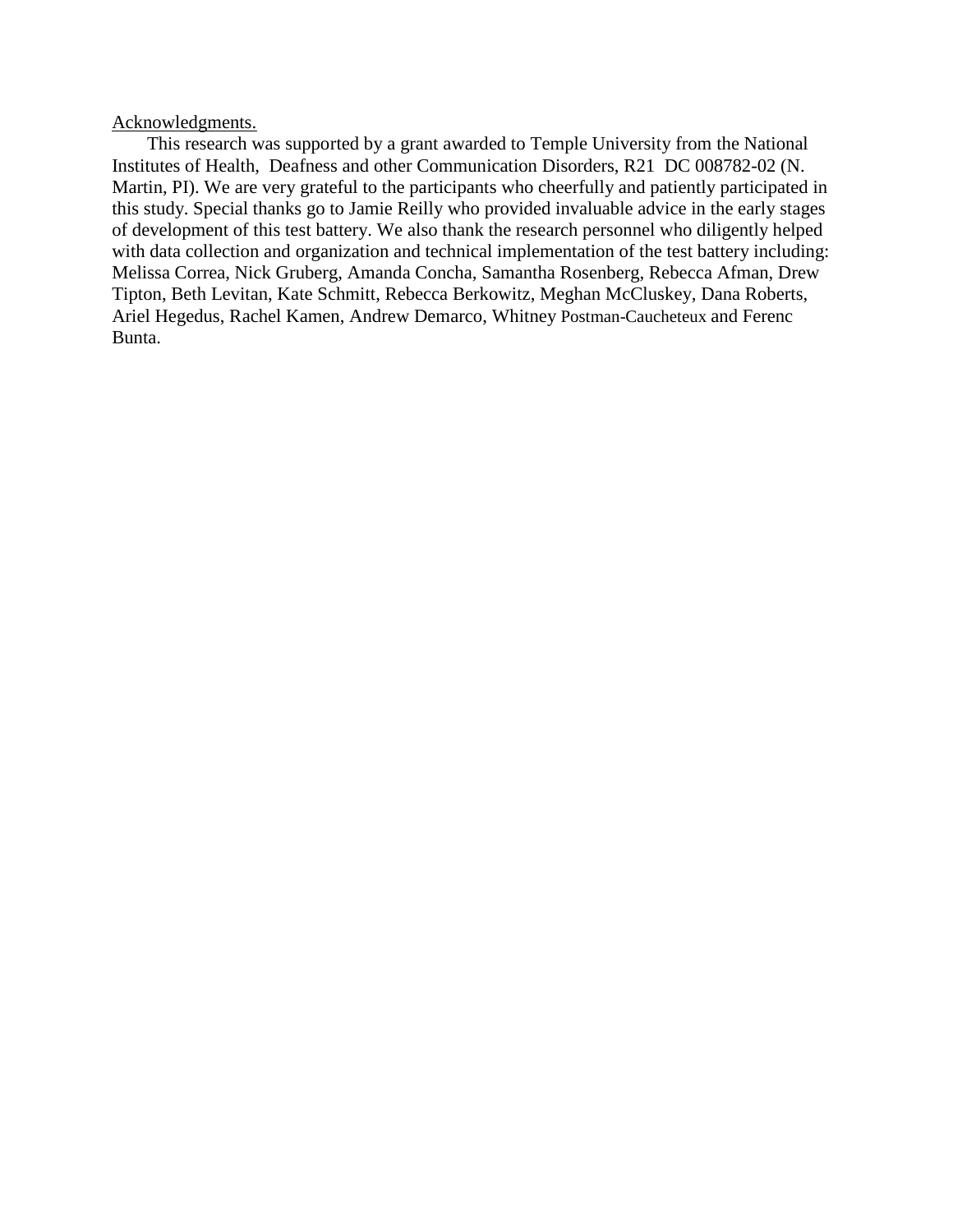## Acknowledgments.

This research was supported by a grant awarded to Temple University from the National Institutes of Health, Deafness and other Communication Disorders, R21 DC 008782-02 (N. Martin, PI). We are very grateful to the participants who cheerfully and patiently participated in this study. Special thanks go to Jamie Reilly who provided invaluable advice in the early stages of development of this test battery. We also thank the research personnel who diligently helped with data collection and organization and technical implementation of the test battery including: Melissa Correa, Nick Gruberg, Amanda Concha, Samantha Rosenberg, Rebecca Afman, Drew Tipton, Beth Levitan, Kate Schmitt, Rebecca Berkowitz, Meghan McCluskey, Dana Roberts, Ariel Hegedus, Rachel Kamen, Andrew Demarco, Whitney Postman-Caucheteux and Ferenc Bunta.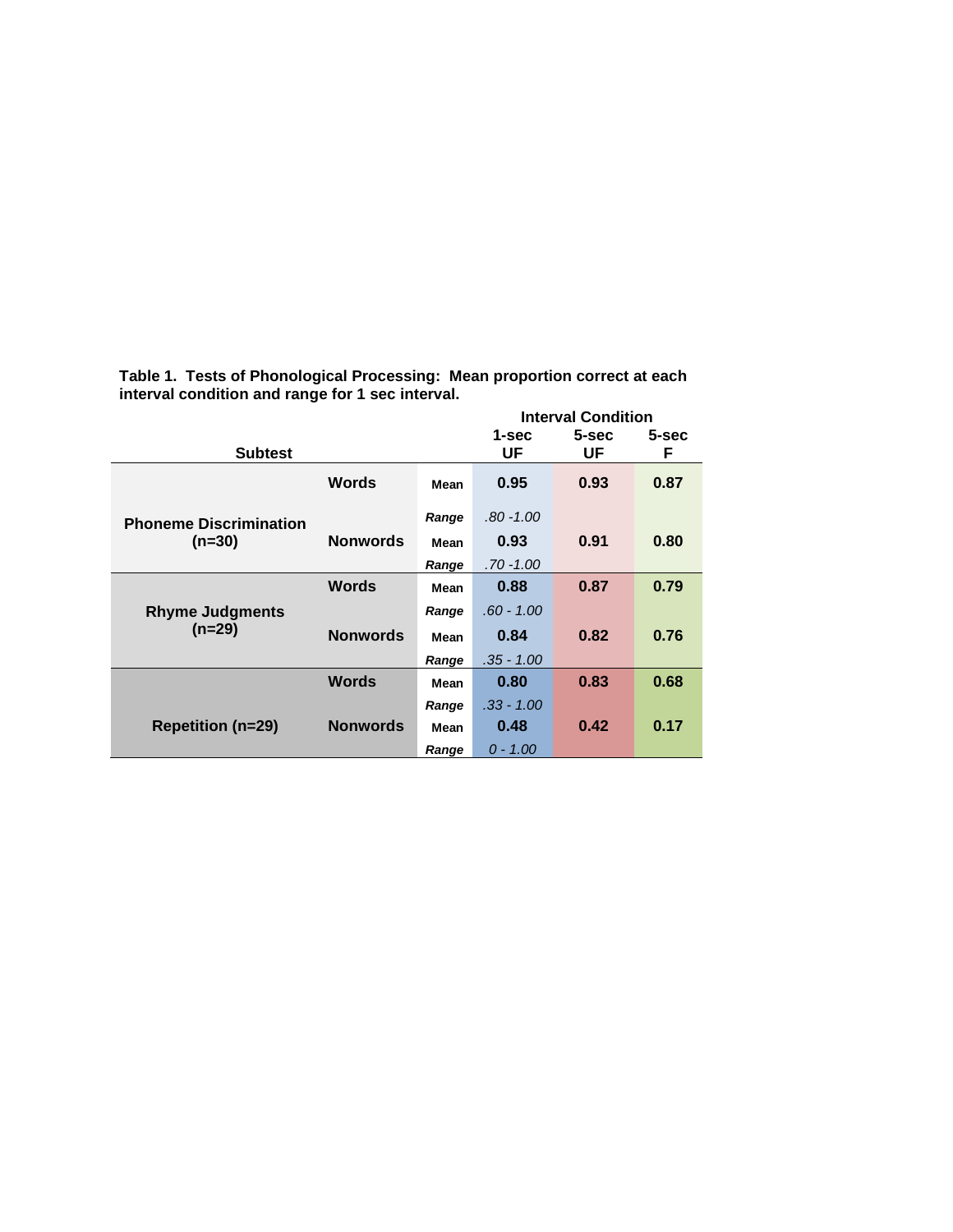| <b>Subtest</b>                            |                 |               | 1-sec<br>UF          | <b>Interval Condition</b><br>5-sec<br>UF | 5-sec<br>F |
|-------------------------------------------|-----------------|---------------|----------------------|------------------------------------------|------------|
|                                           | <b>Words</b>    | Mean          | 0.95                 | 0.93                                     | 0.87       |
| <b>Phoneme Discrimination</b><br>$(n=30)$ | <b>Nonwords</b> | Range<br>Mean | $.80 - 1.00$<br>0.93 | 0.91                                     | 0.80       |
|                                           |                 | Range         | .70 -1.00            |                                          |            |
|                                           | <b>Words</b>    | Mean          | 0.88                 | 0.87                                     | 0.79       |
| <b>Rhyme Judgments</b>                    |                 | Range         | .60 - 1.00           |                                          |            |
| $(n=29)$                                  | <b>Nonwords</b> | Mean          | 0.84                 | 0.82                                     | 0.76       |
|                                           |                 | Range         | $.35 - 1.00$         |                                          |            |
|                                           | <b>Words</b>    | Mean          | 0.80                 | 0.83                                     | 0.68       |
|                                           |                 | Range         | $.33 - 1.00$         |                                          |            |
| <b>Repetition (n=29)</b>                  | <b>Nonwords</b> | Mean          | 0.48                 | 0.42                                     | 0.17       |
|                                           |                 | Range         | $0 - 1.00$           |                                          |            |

**Table 1. Tests of Phonological Processing: Mean proportion correct at each interval condition and range for 1 sec interval.**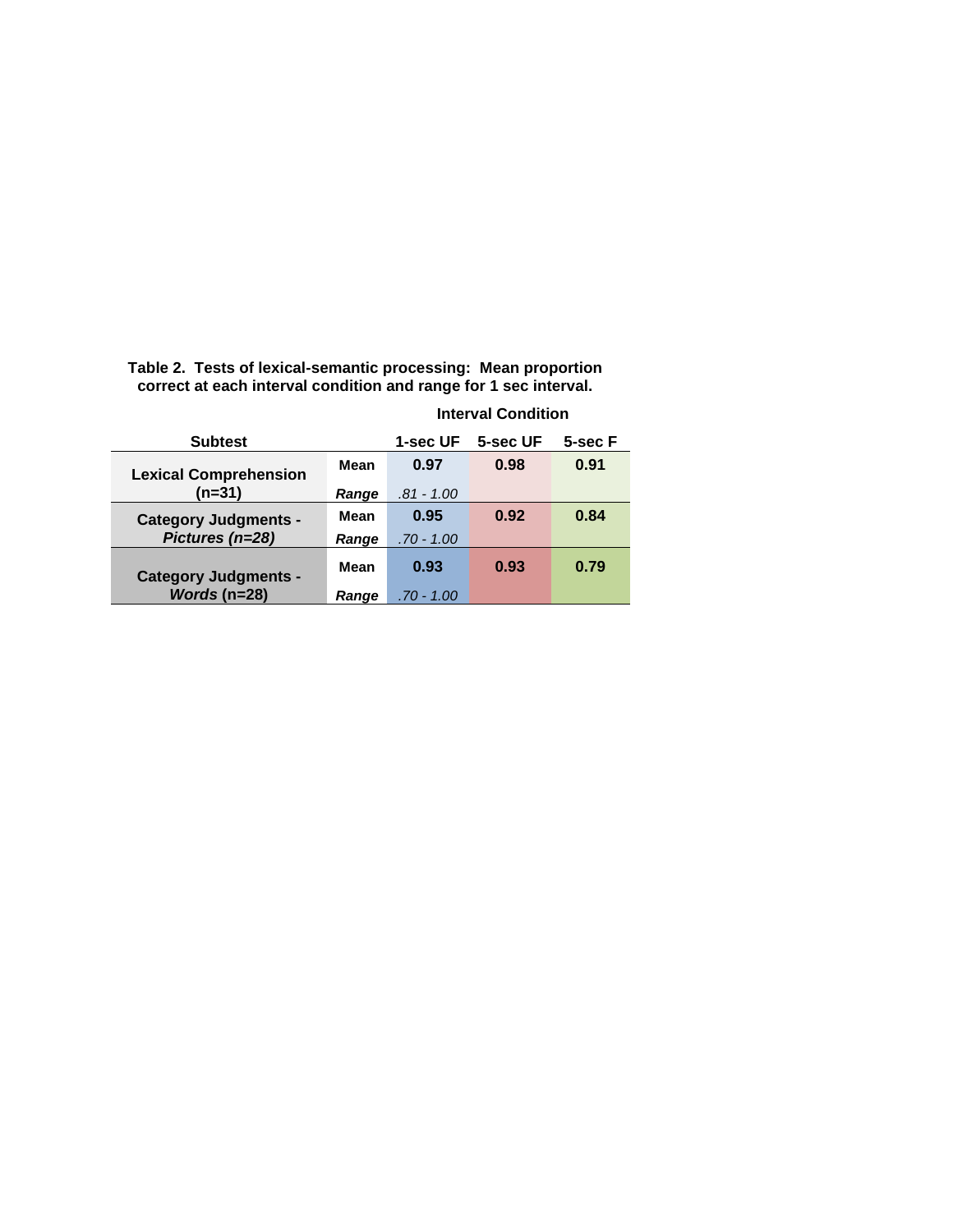| <b>Subtest</b>               |       | 1-sec UF     | 5-sec UF | 5-sec F |
|------------------------------|-------|--------------|----------|---------|
| <b>Lexical Comprehension</b> | Mean  | 0.97         | 0.98     | 0.91    |
| $(n=31)$                     | Range | .81 - 1.00   |          |         |
| <b>Category Judgments -</b>  | Mean  | 0.95         | 0.92     | 0.84    |
| Pictures (n=28)              | Range | $.70 - 1.00$ |          |         |
| <b>Category Judgments -</b>  | Mean  | 0.93         | 0.93     | 0.79    |
| Words ( $n=28$ )             | Range | .70 - 1.00   |          |         |

**Table 2. Tests of lexical-semantic processing: Mean proportion correct at each interval condition and range for 1 sec interval.**

## **Interval Condition**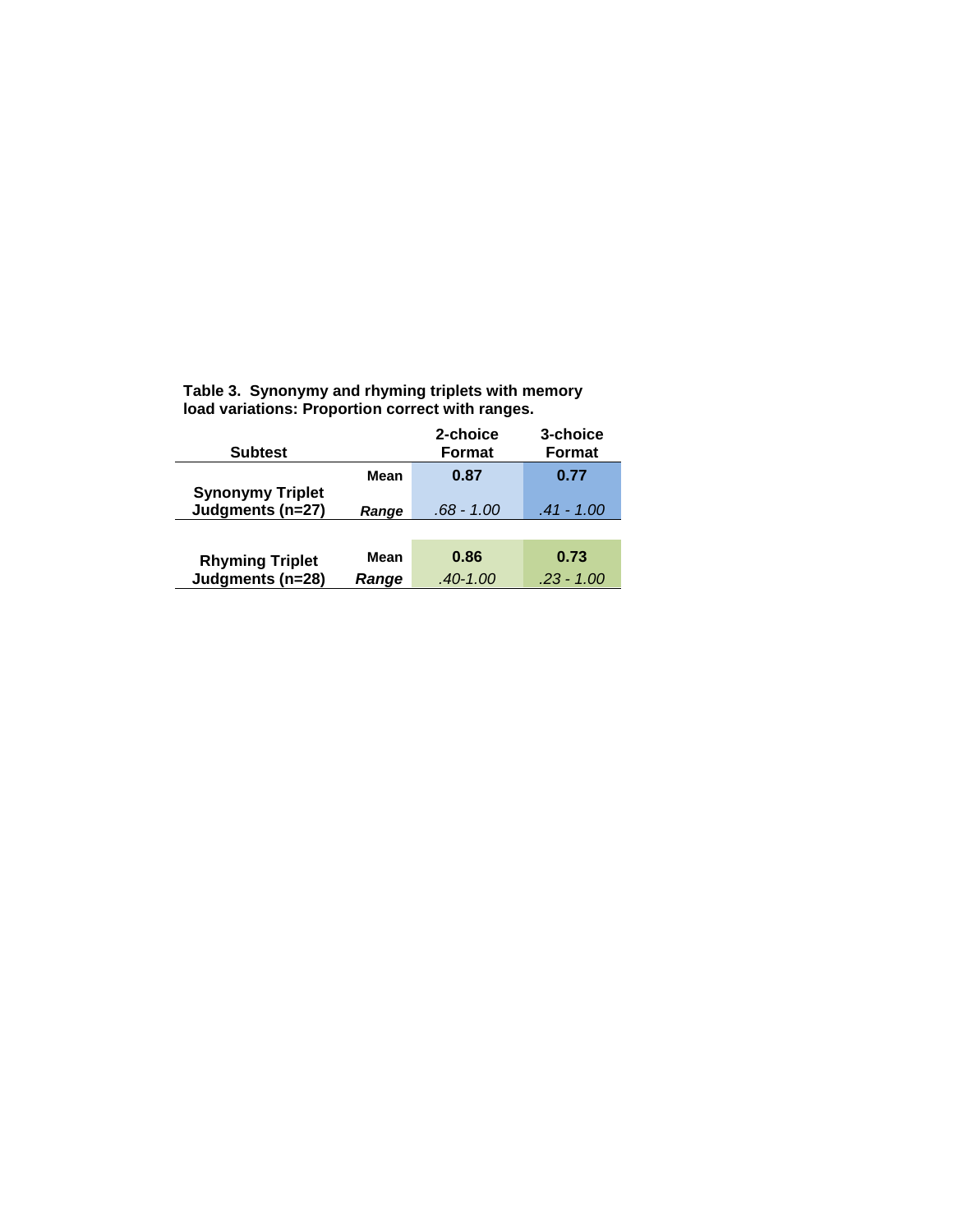| <b>Subtest</b>          |       | 2-choice<br>Format | 3-choice<br>Format |
|-------------------------|-------|--------------------|--------------------|
| <b>Synonymy Triplet</b> | Mean  | 0.87               | 0.77               |
| Judgments (n=27)        | Range | $.68 - 1.00$       | .41 - 1.00         |
|                         |       |                    |                    |
| <b>Rhyming Triplet</b>  | Mean  | 0.86               | 0.73               |
| Judgments (n=28)        | Range | $.40 - 1.00$       | $.23 - 1.00$       |

**Table 3. Synonymy and rhyming triplets with memory load variations: Proportion correct with ranges.**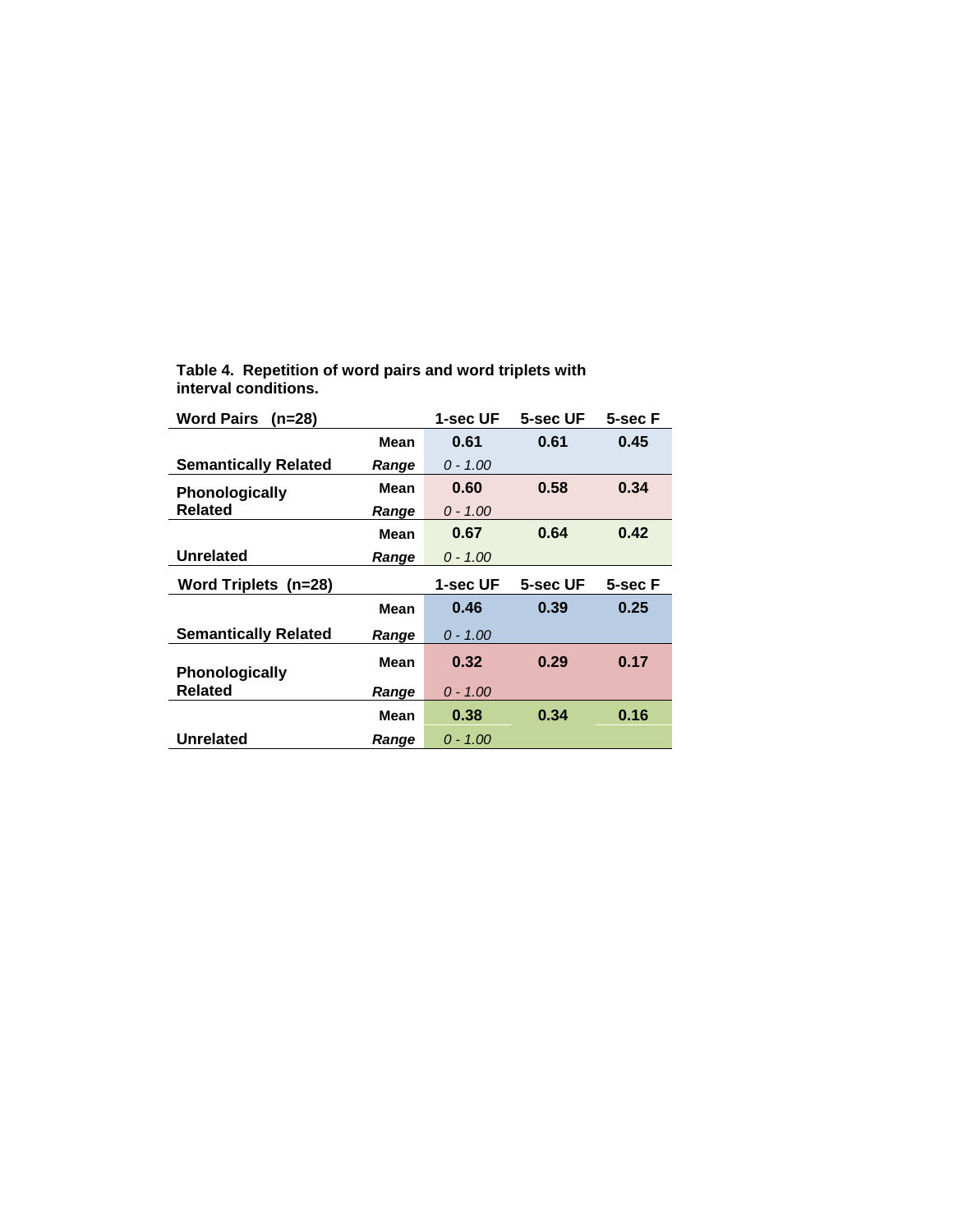| <b>Word Pairs</b><br>(n=28)             |       | 1-sec UF   | 5-sec UF | 5-sec F |
|-----------------------------------------|-------|------------|----------|---------|
|                                         | Mean  | 0.61       | 0.61     | 0.45    |
| <b>Semantically Related</b>             | Range | $0 - 1.00$ |          |         |
| <b>Phonologically</b>                   | Mean  | 0.60       | 0.58     | 0.34    |
| <b>Related</b>                          | Range | $0 - 1.00$ |          |         |
|                                         | Mean  | 0.67       | 0.64     | 0.42    |
| <b>Unrelated</b>                        | Range | $0 - 1.00$ |          |         |
|                                         |       |            |          |         |
| Word Triplets (n=28)                    |       | 1-sec UF   | 5-sec UF | 5-sec F |
|                                         | Mean  | 0.46       | 0.39     | 0.25    |
| <b>Semantically Related</b>             | Range | $0 - 1.00$ |          |         |
|                                         | Mean  | 0.32       | 0.29     | 0.17    |
| <b>Phonologically</b><br><b>Related</b> | Range | $0 - 1.00$ |          |         |
|                                         | Mean  | 0.38       | 0.34     | 0.16    |

**Table 4. Repetition of word pairs and word triplets with interval conditions.**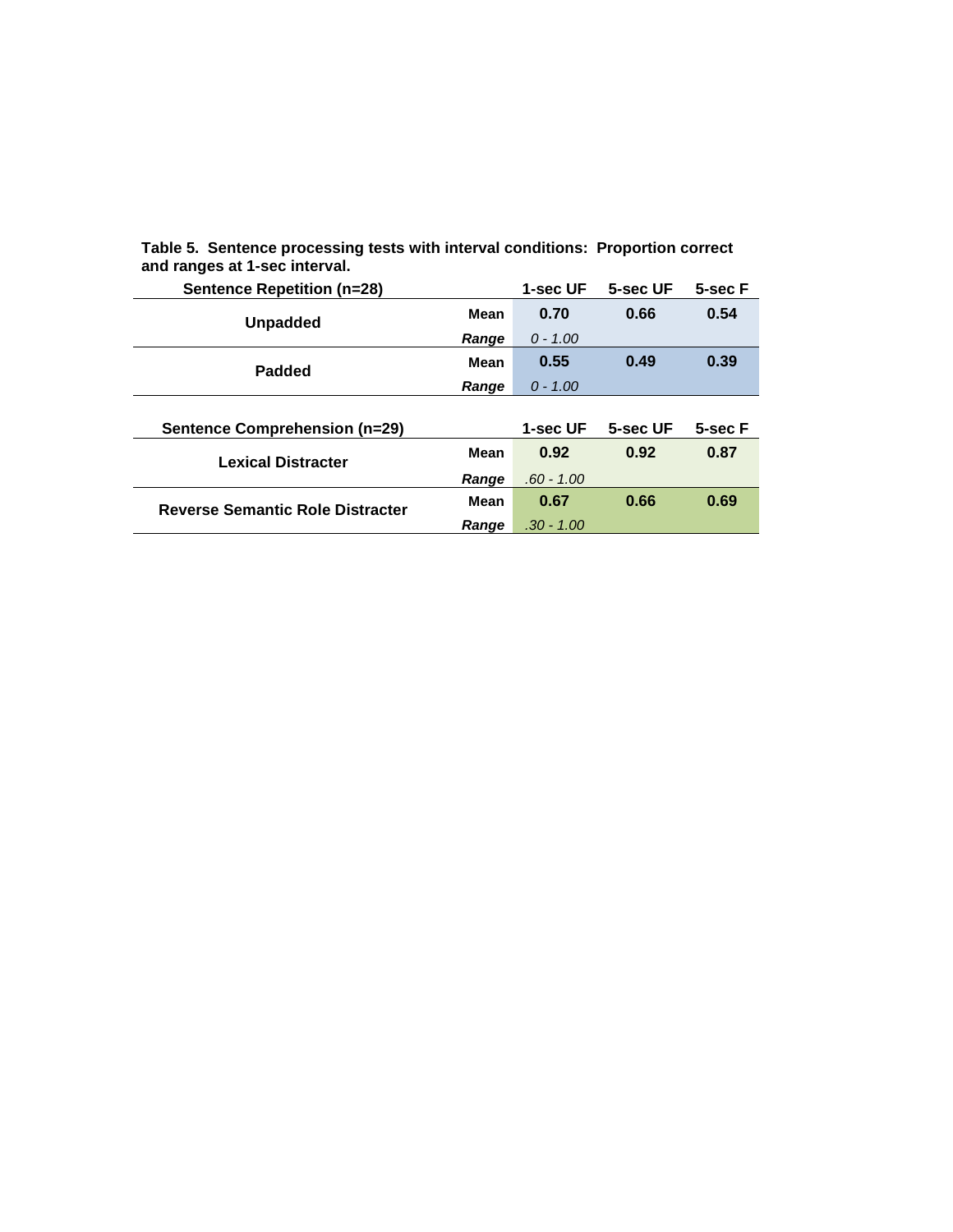| <b>Sentence Repetition (n=28)</b>       |             | 1-sec UF     | 5-sec UF | 5-sec F |
|-----------------------------------------|-------------|--------------|----------|---------|
| <b>Unpadded</b>                         | Mean        | 0.70         | 0.66     | 0.54    |
|                                         | Range       | $0 - 1.00$   |          |         |
| Padded                                  | <b>Mean</b> | 0.55         | 0.49     | 0.39    |
|                                         | Range       | $0 - 1.00$   |          |         |
|                                         |             |              |          |         |
|                                         |             |              |          |         |
| <b>Sentence Comprehension (n=29)</b>    |             | 1-sec UF     | 5-sec UF | 5-sec F |
| <b>Lexical Distracter</b>               | <b>Mean</b> | 0.92         | 0.92     | 0.87    |
|                                         | Range       | $.60 - 1.00$ |          |         |
| <b>Reverse Semantic Role Distracter</b> | Mean        | 0.67         | 0.66     | 0.69    |

**Table 5. Sentence processing tests with interval conditions: Proportion correct and ranges at 1-sec interval.**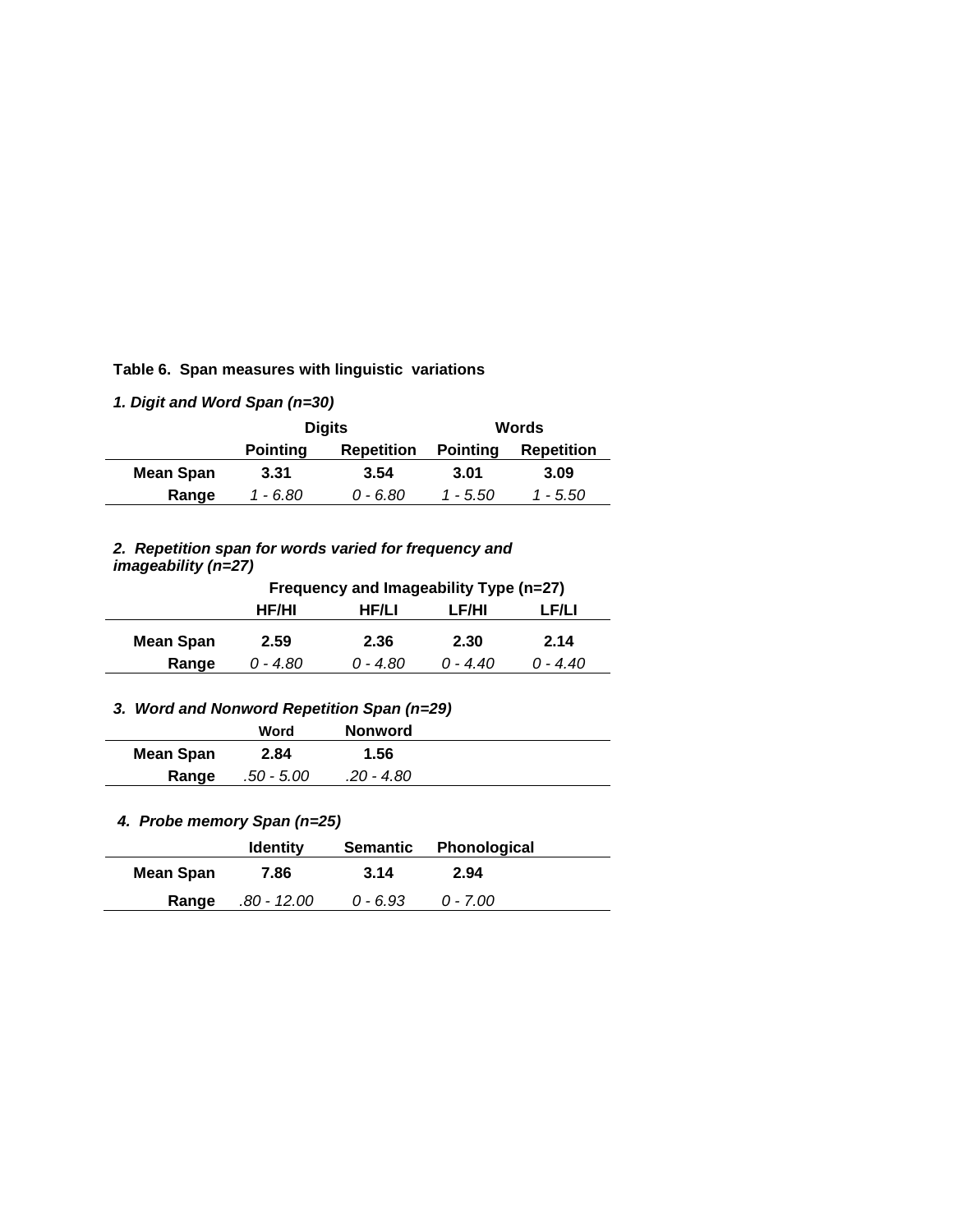**Table 6. Span measures with linguistic variations**

*1. Digit and Word Span (n=30)*

|           | <b>Digits</b>                        |          | Words           |                   |  |
|-----------|--------------------------------------|----------|-----------------|-------------------|--|
|           | <b>Pointing</b><br><b>Repetition</b> |          | <b>Pointing</b> | <b>Repetition</b> |  |
| Mean Span | 3.31                                 | 3.54     | 3.01            | 3.09              |  |
| Range     | 1 - 6.80                             | 0 - 6.80 | 1 - 5.50        | 1 - 5.50          |  |

#### *2. Repetition span for words varied for frequency and imageability (n=27)*

|           | Frequency and Imageability Type (n=27)  |            |            |          |  |
|-----------|-----------------------------------------|------------|------------|----------|--|
|           | HF/HI<br>HF/LI<br><b>LF/LI</b><br>LF/HI |            |            |          |  |
| Mean Span | 2.59                                    | 2.36       | 2.30       | 2.14     |  |
| Range     | 0 - 4.80                                | $0 - 4.80$ | $0 - 4.40$ | 0 - 4.40 |  |

# *3. Word and Nonword Repetition Span (n=29)*

|                  | Word       | <b>Nonword</b> |  |
|------------------|------------|----------------|--|
| <b>Mean Span</b> | 2.84       | 1.56           |  |
| Range            | .50 - 5.00 | .20 - 4.80     |  |

# *4. Probe memory Span (n=25)*

|                  | <b>Identity</b>   |          | Semantic Phonological |  |
|------------------|-------------------|----------|-----------------------|--|
| <b>Mean Span</b> | 7.86              | 3.14     | 2.94                  |  |
|                  | Range .80 - 12.00 | 0 - 6.93 | 0 - 7.00              |  |